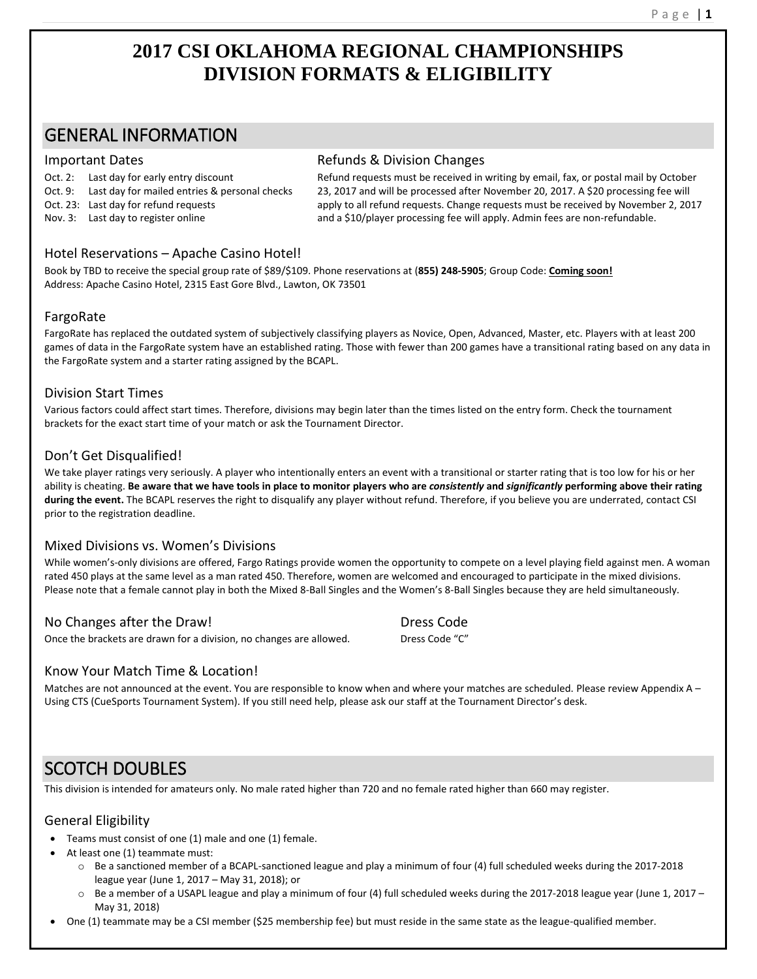# **2017 CSI OKLAHOMA REGIONAL CHAMPIONSHIPS DIVISION FORMATS & ELIGIBILITY**

# GENERAL INFORMATION

Oct. 2: Last day for early entry discount

Oct. 9: Last day for mailed entries & personal checks

Oct. 23: Last day for refund requests

Nov. 3: Last day to register online

#### Important Dates **Refunds & Division Changes** Refunds & Division Changes

Refund requests must be received in writing by email, fax, or postal mail by October 23, 2017 and will be processed after November 20, 2017. A \$20 processing fee will apply to all refund requests. Change requests must be received by November 2, 2017 and a \$10/player processing fee will apply. Admin fees are non-refundable.

## Hotel Reservations – Apache Casino Hotel!

Book by TBD to receive the special group rate of \$89/\$109. Phone reservations at (**855) 248-5905**; Group Code: **Coming soon!** Address: Apache Casino Hotel, 2315 East Gore Blvd., Lawton, OK 73501

# FargoRate

FargoRate has replaced the outdated system of subjectively classifying players as Novice, Open, Advanced, Master, etc. Players with at least 200 games of data in the FargoRate system have an established rating. Those with fewer than 200 games have a transitional rating based on any data in the FargoRate system and a starter rating assigned by the BCAPL.

## Division Start Times

Various factors could affect start times. Therefore, divisions may begin later than the times listed on the entry form. Check the tournament brackets for the exact start time of your match or ask the Tournament Director.

# Don't Get Disqualified!

We take player ratings very seriously. A player who intentionally enters an event with a transitional or starter rating that is too low for his or her ability is cheating. **Be aware that we have tools in place to monitor players who are** *consistently* **and** *significantly* **performing above their rating during the event.** The BCAPL reserves the right to disqualify any player without refund. Therefore, if you believe you are underrated, contact CSI prior to the registration deadline.

# Mixed Divisions vs. Women's Divisions

While women's-only divisions are offered, Fargo Ratings provide women the opportunity to compete on a level playing field against men. A woman rated 450 plays at the same level as a man rated 450. Therefore, women are welcomed and encouraged to participate in the mixed divisions. Please note that a female cannot play in both the Mixed 8-Ball Singles and the Women's 8-Ball Singles because they are held simultaneously.

No Changes after the Draw! Dress Code **Dress Code** Once the brackets are drawn for a division, no changes are allowed. Dress Code "C"

## Know Your Match Time & Location!

Matches are not announced at the event. You are responsible to know when and where your matches are scheduled. Please review Appendix A -Using CTS (CueSports Tournament System). If you still need help, please ask our staff at the Tournament Director's desk.

# SCOTCH DOUBLES

This division is intended for amateurs only. No male rated higher than 720 and no female rated higher than 660 may register.

## General Eligibility

- Teams must consist of one (1) male and one (1) female.
- At least one (1) teammate must:
	- o Be a sanctioned member of a BCAPL-sanctioned league and play a minimum of four (4) full scheduled weeks during the 2017-2018 league year (June 1, 2017 – May 31, 2018); or
	- $\circ$  Be a member of a USAPL league and play a minimum of four (4) full scheduled weeks during the 2017-2018 league year (June 1, 2017 May 31, 2018)
- One (1) teammate may be a CSI member (\$25 membership fee) but must reside in the same state as the league-qualified member.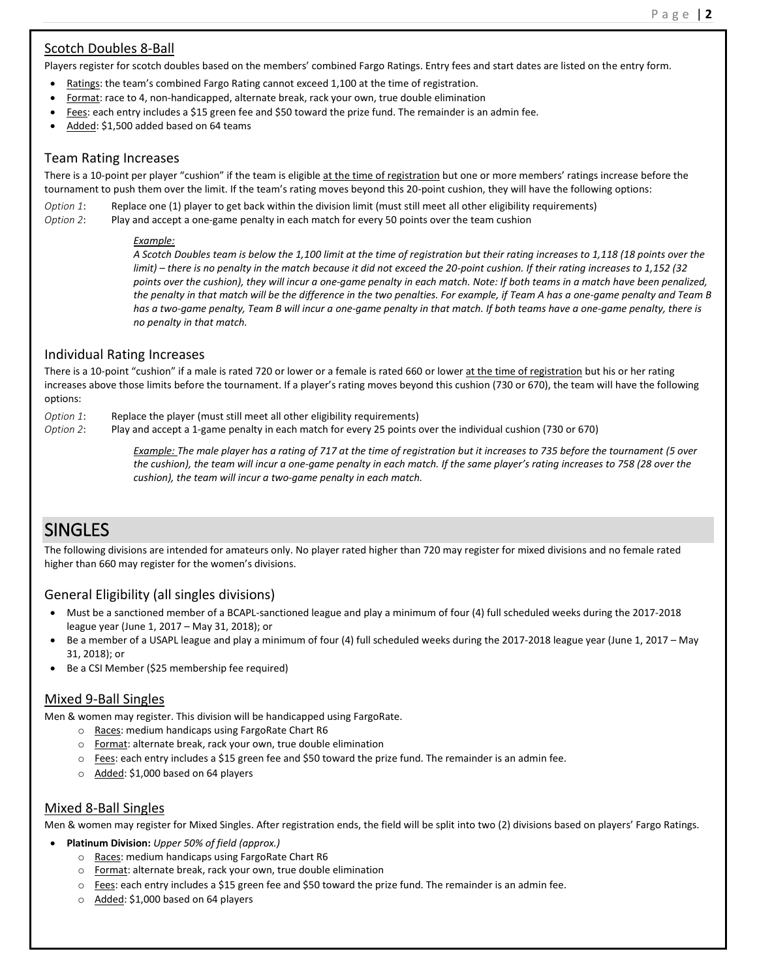## Scotch Doubles 8-Ball

Players register for scotch doubles based on the members' combined Fargo Ratings. Entry fees and start dates are listed on the entry form.

- Ratings: the team's combined Fargo Rating cannot exceed 1,100 at the time of registration.
- Format: race to 4, non-handicapped, alternate break, rack your own, true double elimination
- Fees: each entry includes a \$15 green fee and \$50 toward the prize fund. The remainder is an admin fee.
- Added: \$1,500 added based on 64 teams

#### Team Rating Increases

There is a 10-point per player "cushion" if the team is eligible at the time of registration but one or more members' ratings increase before the tournament to push them over the limit. If the team's rating moves beyond this 20-point cushion, they will have the following options:

*Option 1*: Replace one (1) player to get back within the division limit (must still meet all other eligibility requirements)

*Option 2*: Play and accept a one-game penalty in each match for every 50 points over the team cushion

#### *Example:*

*A Scotch Doubles team is below the 1,100 limit at the time of registration but their rating increases to 1,118 (18 points over the limit) – there is no penalty in the match because it did not exceed the 20-point cushion. If their rating increases to 1,152 (32 points over the cushion), they will incur a one-game penalty in each match. Note: If both teams in a match have been penalized, the penalty in that match will be the difference in the two penalties. For example, if Team A has a one-game penalty and Team B has a two-game penalty, Team B will incur a one-game penalty in that match. If both teams have a one-game penalty, there is no penalty in that match.*

## Individual Rating Increases

There is a 10-point "cushion" if a male is rated 720 or lower or a female is rated 660 or lower at the time of registration but his or her rating increases above those limits before the tournament. If a player's rating moves beyond this cushion (730 or 670), the team will have the following options:

*Option 1*: Replace the player (must still meet all other eligibility requirements)

*Option 2*: Play and accept a 1-game penalty in each match for every 25 points over the individual cushion (730 or 670)

*Example: The male player has a rating of 717 at the time of registration but it increases to 735 before the tournament (5 over the cushion), the team will incur a one-game penalty in each match. If the same player's rating increases to 758 (28 over the cushion), the team will incur a two-game penalty in each match.*

# SINGLES

The following divisions are intended for amateurs only. No player rated higher than 720 may register for mixed divisions and no female rated higher than 660 may register for the women's divisions.

# General Eligibility (all singles divisions)

- Must be a sanctioned member of a BCAPL-sanctioned league and play a minimum of four (4) full scheduled weeks during the 2017-2018 league year (June 1, 2017 – May 31, 2018); or
- Be a member of a USAPL league and play a minimum of four (4) full scheduled weeks during the 2017-2018 league year (June 1, 2017 May 31, 2018); or
- Be a CSI Member (\$25 membership fee required)

## Mixed 9-Ball Singles

Men & women may register. This division will be handicapped using FargoRate.

- o Races: medium handicaps using FargoRate Chart R6
- o Format: alternate break, rack your own, true double elimination
- $\circ$  Fees: each entry includes a \$15 green fee and \$50 toward the prize fund. The remainder is an admin fee.
- o Added: \$1,000 based on 64 players

## Mixed 8-Ball Singles

Men & women may register for Mixed Singles. After registration ends, the field will be split into two (2) divisions based on players' Fargo Ratings.

- **Platinum Division:** *Upper 50% of field (approx.)*
	- o Races: medium handicaps using FargoRate Chart R6
	- o Format: alternate break, rack your own, true double elimination
	- $\circ$  Fees: each entry includes a \$15 green fee and \$50 toward the prize fund. The remainder is an admin fee.
	- o Added: \$1,000 based on 64 players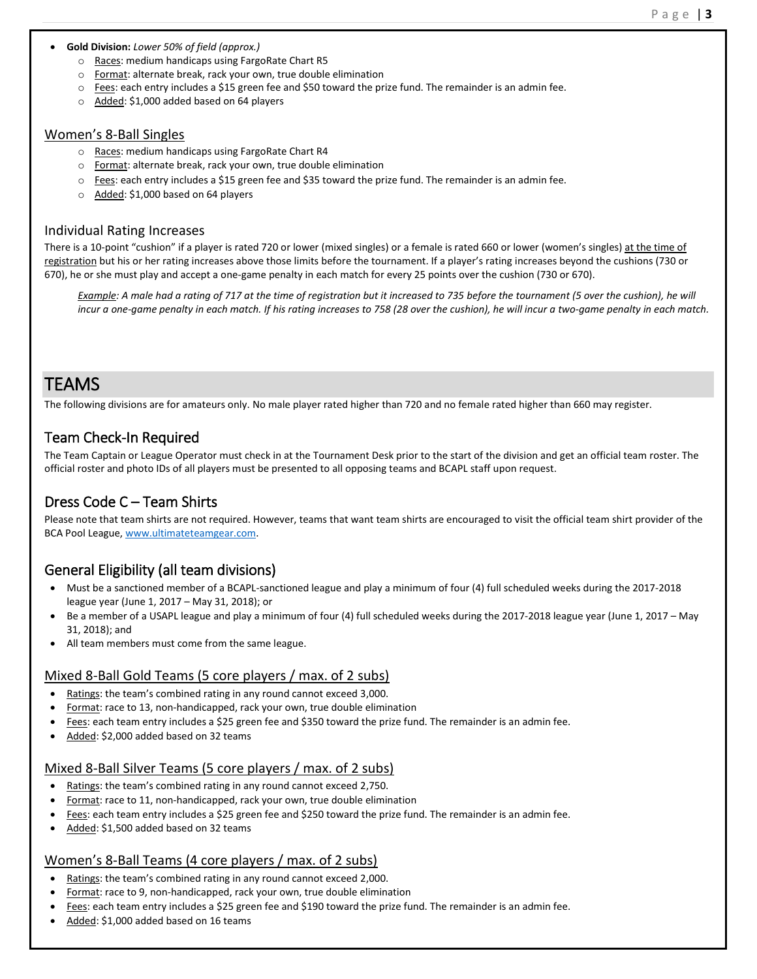#### **Gold Division:** *Lower 50% of field (approx.)*

- o Races: medium handicaps using FargoRate Chart R5
- o Format: alternate break, rack your own, true double elimination
- $\circ$  Fees: each entry includes a \$15 green fee and \$50 toward the prize fund. The remainder is an admin fee.
- o Added: \$1,000 added based on 64 players

#### Women's 8-Ball Singles

- o Races: medium handicaps using FargoRate Chart R4
- o Format: alternate break, rack your own, true double elimination
- o Fees: each entry includes a \$15 green fee and \$35 toward the prize fund. The remainder is an admin fee.
- o Added: \$1,000 based on 64 players

#### Individual Rating Increases

There is a 10-point "cushion" if a player is rated 720 or lower (mixed singles) or a female is rated 660 or lower (women's singles) at the time of registration but his or her rating increases above those limits before the tournament. If a player's rating increases beyond the cushions (730 or 670), he or she must play and accept a one-game penalty in each match for every 25 points over the cushion (730 or 670).

*Example: A male had a rating of 717 at the time of registration but it increased to 735 before the tournament (5 over the cushion), he will incur a one-game penalty in each match. If his rating increases to 758 (28 over the cushion), he will incur a two-game penalty in each match.*

# TEAMS

The following divisions are for amateurs only. No male player rated higher than 720 and no female rated higher than 660 may register.

# Team Check-In Required

The Team Captain or League Operator must check in at the Tournament Desk prior to the start of the division and get an official team roster. The official roster and photo IDs of all players must be presented to all opposing teams and BCAPL staff upon request.

# Dress Code C – Team Shirts

Please note that team shirts are not required. However, teams that want team shirts are encouraged to visit the official team shirt provider of the BCA Pool League[, www.ultimateteamgear.com.](http://www.ultimateteamgear.com/)

# General Eligibility (all team divisions)

- Must be a sanctioned member of a BCAPL-sanctioned league and play a minimum of four (4) full scheduled weeks during the 2017-2018 league year (June 1, 2017 – May 31, 2018); or
- Be a member of a USAPL league and play a minimum of four (4) full scheduled weeks during the 2017-2018 league year (June 1, 2017 May 31, 2018); and
- All team members must come from the same league.

## Mixed 8-Ball Gold Teams (5 core players / max. of 2 subs)

- Ratings: the team's combined rating in any round cannot exceed 3,000.
- Format: race to 13, non-handicapped, rack your own, true double elimination
- Fees: each team entry includes a \$25 green fee and \$350 toward the prize fund. The remainder is an admin fee.
- Added: \$2,000 added based on 32 teams

## Mixed 8-Ball Silver Teams (5 core players / max. of 2 subs)

- Ratings: the team's combined rating in any round cannot exceed 2,750.
- Format: race to 11, non-handicapped, rack your own, true double elimination
- Fees: each team entry includes a \$25 green fee and \$250 toward the prize fund. The remainder is an admin fee.
- Added: \$1,500 added based on 32 teams

## Women's 8-Ball Teams (4 core players / max. of 2 subs)

- Ratings: the team's combined rating in any round cannot exceed 2,000.
- Format: race to 9, non-handicapped, rack your own, true double elimination
- Fees: each team entry includes a \$25 green fee and \$190 toward the prize fund. The remainder is an admin fee.
- Added: \$1,000 added based on 16 teams